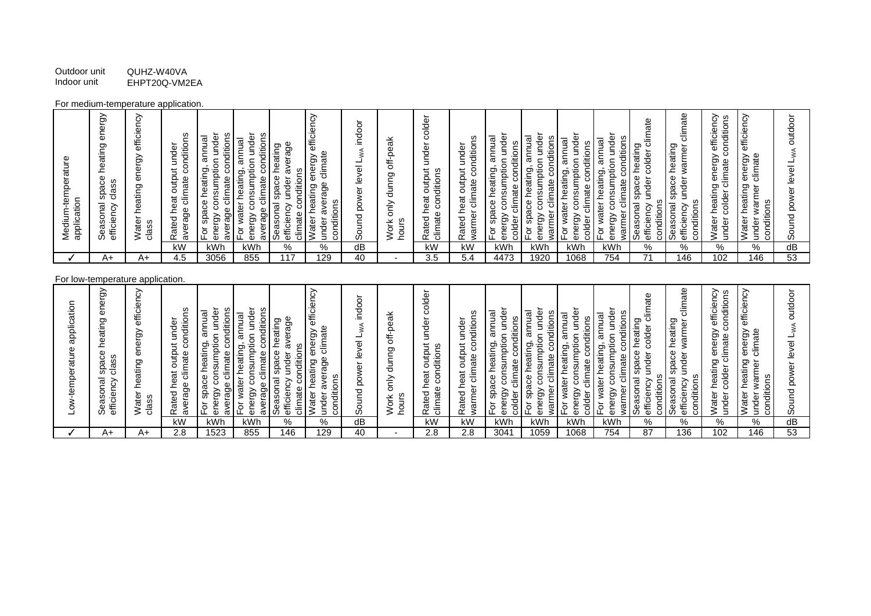Outdoor unit QUHZ-W40VA<br>Indoor unit EHPT20Q-VM2 EHPT20Q-VM2EA

## For medium-temperature application.

## For low-temperature application.

| kWh<br>kW<br>kWh<br>dB<br>kW<br>kW<br>kWh<br>kWh<br>kWh<br><b>kWh</b><br>℅<br>%<br>%<br>%<br>%<br>%<br>dВ |
|-----------------------------------------------------------------------------------------------------------|
|-----------------------------------------------------------------------------------------------------------|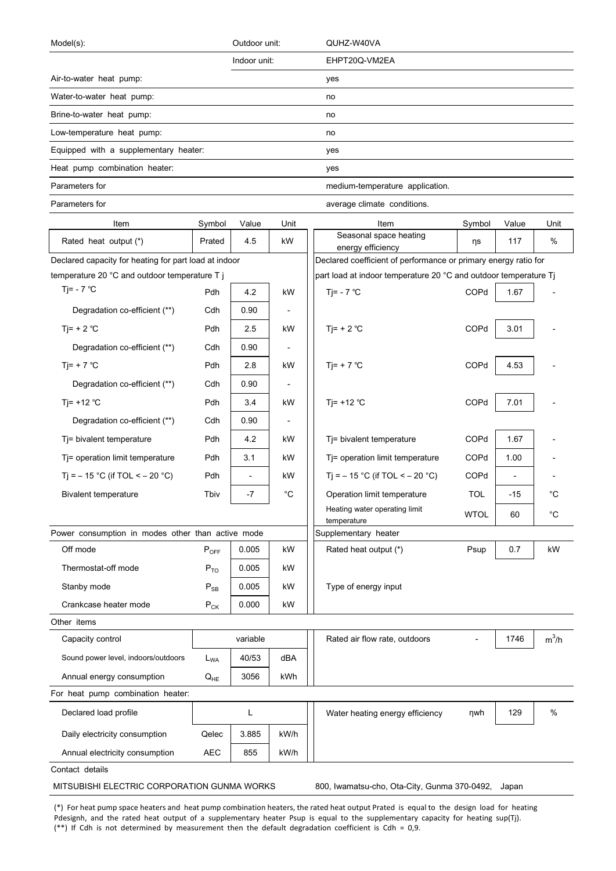| Model(s):                                             |            | Outdoor unit:            |                          | QUHZ-W40VA                                                                           |             |                          |         |  |  |
|-------------------------------------------------------|------------|--------------------------|--------------------------|--------------------------------------------------------------------------------------|-------------|--------------------------|---------|--|--|
|                                                       |            | Indoor unit:             |                          | EHPT20Q-VM2EA                                                                        |             |                          |         |  |  |
| Air-to-water heat pump:                               |            |                          |                          | yes                                                                                  |             |                          |         |  |  |
| Water-to-water heat pump:                             |            |                          |                          | no                                                                                   |             |                          |         |  |  |
| Brine-to-water heat pump:                             |            |                          |                          | no                                                                                   |             |                          |         |  |  |
| Low-temperature heat pump:                            |            |                          |                          | no                                                                                   |             |                          |         |  |  |
| Equipped with a supplementary heater:                 |            |                          |                          | yes                                                                                  |             |                          |         |  |  |
| Heat pump combination heater:                         |            |                          |                          | yes                                                                                  |             |                          |         |  |  |
| Parameters for                                        |            |                          |                          | medium-temperature application.                                                      |             |                          |         |  |  |
| Parameters for                                        |            |                          |                          | average climate conditions.                                                          |             |                          |         |  |  |
| Item                                                  | Symbol     | Value                    | Unit                     | Item                                                                                 | Symbol      | Value                    | Unit    |  |  |
| Rated heat output (*)                                 | Prated     | 4.5                      | kW                       | Seasonal space heating                                                               | ηs          | 117                      | %       |  |  |
| Declared capacity for heating for part load at indoor |            |                          |                          | energy efficiency<br>Declared coefficient of performance or primary energy ratio for |             |                          |         |  |  |
| temperature 20 °C and outdoor temperature T j         |            |                          |                          | part load at indoor temperature 20 °C and outdoor temperature Tj                     |             |                          |         |  |  |
| Tj= - $7^{\circ}$ C                                   | Pdh        | 4.2                      | kW                       | Tj= - $7^{\circ}$ C                                                                  | COPd        | 1.67                     |         |  |  |
| Degradation co-efficient (**)                         | Cdh        | 0.90                     |                          |                                                                                      |             |                          |         |  |  |
| Ti= $+ 2 °C$                                          | Pdh        | 2.5                      | kW                       | Ti= $+ 2 °C$                                                                         | COPd        | 3.01                     |         |  |  |
| Degradation co-efficient (**)                         | Cdh        | 0.90                     |                          |                                                                                      |             |                          |         |  |  |
| Tj= + 7 $^{\circ}$ C                                  | Pdh        | 2.8                      | kW                       | Tj= + 7 $^{\circ}$ C                                                                 | COPd        | 4.53                     |         |  |  |
| Degradation co-efficient (**)                         | Cdh        | 0.90                     |                          |                                                                                      |             |                          |         |  |  |
| Ti= $+12$ °C                                          | Pdh        | 3.4                      | kW                       | Tj= $+12$ °C                                                                         | COPd        | 7.01                     |         |  |  |
|                                                       |            |                          |                          |                                                                                      |             |                          |         |  |  |
| Degradation co-efficient (**)                         | Cdh        | 0.90                     | $\overline{\phantom{a}}$ |                                                                                      |             |                          |         |  |  |
| Tj= bivalent temperature                              | Pdh        | 4.2                      | kW                       | Tj= bivalent temperature                                                             | COPd        | 1.67                     |         |  |  |
| Tj= operation limit temperature                       | Pdh        | 3.1                      | kW                       | Tj= operation limit temperature                                                      | COPd        | 1.00                     |         |  |  |
| Tj = $-15$ °C (if TOL < $-20$ °C)                     | Pdh        | $\overline{\phantom{a}}$ | kW                       | Tj = $-15$ °C (if TOL < $-20$ °C)                                                    | COPd        | $\overline{\phantom{a}}$ |         |  |  |
| <b>Bivalent temperature</b>                           | Tbiv       | -7                       | °C                       | Operation limit temperature                                                          | <b>TOL</b>  | $-15$                    | °C      |  |  |
|                                                       |            |                          |                          | Heating water operating limit<br>temperature                                         | <b>WTOL</b> | 60                       | °C      |  |  |
| Power consumption in modes other than active mode     |            |                          |                          | Supplementary heater                                                                 |             |                          |         |  |  |
| Off mode                                              | $P_{OFF}$  | 0.005                    | kW                       | Rated heat output (*)                                                                | Psup        | 0.7                      | kW      |  |  |
| Thermostat-off mode                                   | $P_{TO}$   | 0.005                    | kW                       |                                                                                      |             |                          |         |  |  |
| Stanby mode                                           | $P_{SB}$   | 0.005                    | kW                       | Type of energy input                                                                 |             |                          |         |  |  |
| Crankcase heater mode                                 | $P_{CK}$   | 0.000                    | kW                       |                                                                                      |             |                          |         |  |  |
| Other items                                           |            |                          |                          |                                                                                      |             |                          |         |  |  |
| Capacity control                                      |            | variable                 |                          | Rated air flow rate, outdoors                                                        |             | 1746                     | $m^3/h$ |  |  |
| Sound power level, indoors/outdoors                   | $L_{WA}$   | 40/53                    | dBA                      |                                                                                      |             |                          |         |  |  |
| Annual energy consumption                             | $Q_{HE}$   | 3056                     | kWh                      |                                                                                      |             |                          |         |  |  |
| For heat pump combination heater:                     |            |                          |                          |                                                                                      |             |                          |         |  |  |
| Declared load profile                                 |            | L                        |                          | Water heating energy efficiency                                                      | nwh         | 129                      | $\%$    |  |  |
| Daily electricity consumption                         | Qelec      | 3.885                    | kW/h                     |                                                                                      |             |                          |         |  |  |
| Annual electricity consumption                        | <b>AEC</b> | 855                      | kW/h                     |                                                                                      |             |                          |         |  |  |
| Contact details                                       |            |                          |                          |                                                                                      |             |                          |         |  |  |
| MITSUBISHI ELECTRIC CORPORATION GUNMA WORKS           |            |                          |                          | 800, Iwamatsu-cho, Ota-City, Gunma 370-0492,                                         |             | Japan                    |         |  |  |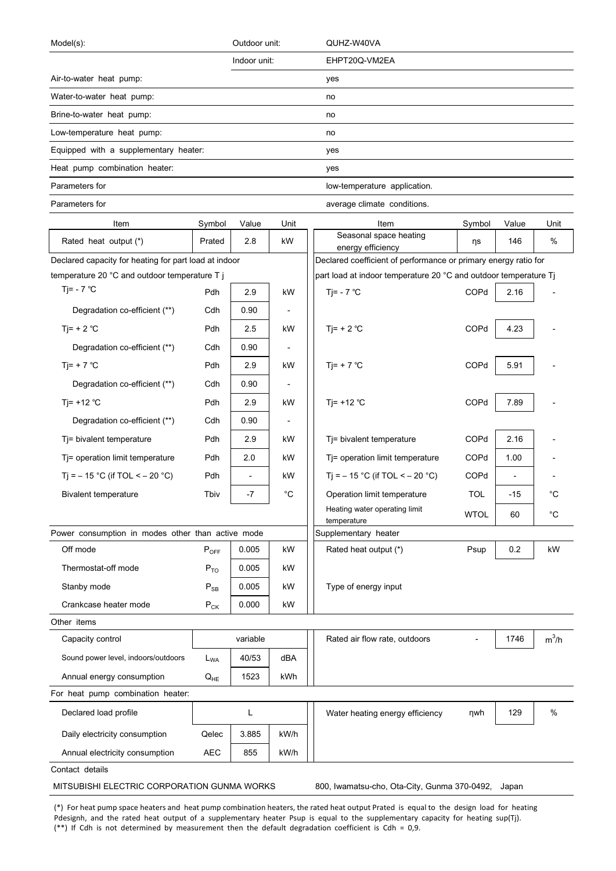| Model(s):                                             |            | Outdoor unit:            |                          | QUHZ-W40VA                                                                           |             |                          |         |
|-------------------------------------------------------|------------|--------------------------|--------------------------|--------------------------------------------------------------------------------------|-------------|--------------------------|---------|
|                                                       |            | Indoor unit:             |                          | EHPT20Q-VM2EA                                                                        |             |                          |         |
| Air-to-water heat pump:                               |            |                          |                          | yes                                                                                  |             |                          |         |
| Water-to-water heat pump:                             |            |                          |                          | no                                                                                   |             |                          |         |
| Brine-to-water heat pump:                             |            |                          |                          | no                                                                                   |             |                          |         |
| Low-temperature heat pump:                            |            |                          |                          | no                                                                                   |             |                          |         |
| Equipped with a supplementary heater:                 |            |                          |                          | yes                                                                                  |             |                          |         |
| Heat pump combination heater:                         |            |                          |                          | yes                                                                                  |             |                          |         |
| Parameters for                                        |            |                          |                          | low-temperature application.                                                         |             |                          |         |
| Parameters for                                        |            |                          |                          | average climate conditions.                                                          |             |                          |         |
| Item                                                  | Symbol     | Value                    | Unit                     | Item                                                                                 | Symbol      | Value                    | Unit    |
| Rated heat output (*)                                 | Prated     | 2.8                      | kW                       | Seasonal space heating                                                               | ηs          | 146                      | %       |
| Declared capacity for heating for part load at indoor |            |                          |                          | energy efficiency<br>Declared coefficient of performance or primary energy ratio for |             |                          |         |
| temperature 20 °C and outdoor temperature T j         |            |                          |                          | part load at indoor temperature 20 °C and outdoor temperature Tj                     |             |                          |         |
| Tj= - $7^{\circ}$ C                                   | Pdh        | 2.9                      | kW                       | Tj= - $7^{\circ}$ C                                                                  | COPd        | 2.16                     |         |
| Degradation co-efficient (**)                         | Cdh        | 0.90                     |                          |                                                                                      |             |                          |         |
| Ti= $+ 2 °C$                                          | Pdh        | 2.5                      | kW                       | Ti= $+ 2 °C$                                                                         | COPd        | 4.23                     |         |
| Degradation co-efficient (**)                         | Cdh        | 0.90                     |                          |                                                                                      |             |                          |         |
| Tj= + 7 $^{\circ}$ C                                  | Pdh        | 2.9                      | kW                       | Tj= + 7 $^{\circ}$ C                                                                 | COPd        | 5.91                     |         |
| Degradation co-efficient (**)                         | Cdh        | 0.90                     |                          |                                                                                      |             |                          |         |
| Ti= $+12$ °C                                          | Pdh        | 2.9                      | kW                       | Tj= $+12$ °C                                                                         | COPd        | 7.89                     |         |
| Degradation co-efficient (**)                         | Cdh        | 0.90                     | $\overline{\phantom{a}}$ |                                                                                      |             |                          |         |
| Tj= bivalent temperature                              | Pdh        | 2.9                      | kW                       | Tj= bivalent temperature                                                             | COPd        | 2.16                     |         |
|                                                       | Pdh        | 2.0                      | kW                       |                                                                                      | COPd        | 1.00                     |         |
| Tj= operation limit temperature                       |            |                          |                          | Tj= operation limit temperature                                                      |             |                          |         |
| Tj = $-15$ °C (if TOL < $-20$ °C)                     | Pdh        | $\overline{\phantom{a}}$ | kW                       | T <sub>i</sub> = $-15$ °C (if TOL < $-20$ °C)                                        | COPd        | $\overline{\phantom{a}}$ |         |
| <b>Bivalent temperature</b>                           | Tbiv       | -7                       | °C                       | Operation limit temperature<br>Heating water operating limit                         | <b>TOL</b>  | $-15$                    | °C      |
|                                                       |            |                          |                          | temperature                                                                          | <b>WTOL</b> | 60                       | °C      |
| Power consumption in modes other than active mode     |            |                          |                          | Supplementary heater                                                                 |             |                          |         |
| Off mode                                              | $P_{OFF}$  | 0.005                    | kW                       | Rated heat output (*)                                                                | Psup        | 0.2                      | kW      |
| Thermostat-off mode                                   | $P_{TO}$   | 0.005                    | kW                       |                                                                                      |             |                          |         |
| Stanby mode                                           | $P_{SB}$   | 0.005                    | kW                       | Type of energy input                                                                 |             |                          |         |
| Crankcase heater mode                                 | $P_{CK}$   | 0.000                    | kW                       |                                                                                      |             |                          |         |
| Other items                                           |            |                          |                          |                                                                                      |             |                          |         |
| Capacity control                                      |            | variable                 |                          | Rated air flow rate, outdoors                                                        |             | 1746                     | $m^3/h$ |
| Sound power level, indoors/outdoors                   | $L_{WA}$   | 40/53                    | dBA                      |                                                                                      |             |                          |         |
| Annual energy consumption                             | $Q_{HE}$   | 1523                     | kWh                      |                                                                                      |             |                          |         |
| For heat pump combination heater:                     |            |                          |                          |                                                                                      |             |                          |         |
| Declared load profile                                 |            | L                        |                          | Water heating energy efficiency                                                      | nwh         | 129                      | $\%$    |
| Daily electricity consumption                         | Qelec      | 3.885                    | kW/h                     |                                                                                      |             |                          |         |
| Annual electricity consumption                        | <b>AEC</b> | 855                      | kW/h                     |                                                                                      |             |                          |         |
| Contact details                                       |            |                          |                          |                                                                                      |             |                          |         |
| MITSUBISHI ELECTRIC CORPORATION GUNMA WORKS           |            |                          |                          | 800, Iwamatsu-cho, Ota-City, Gunma 370-0492,                                         |             | Japan                    |         |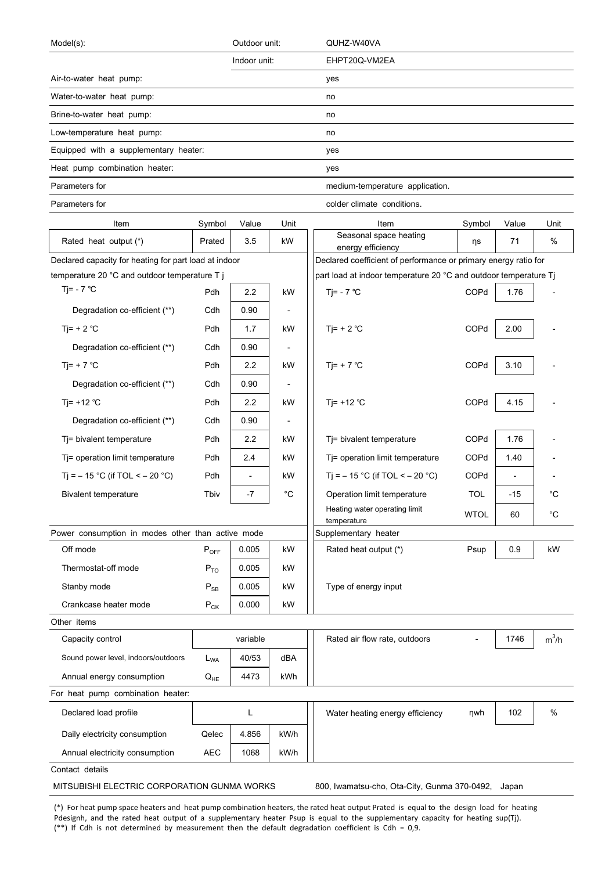| Indoor unit:<br>EHPT20Q-VM2EA<br>yes<br>no<br>no<br>no<br>Equipped with a supplementary heater:<br>yes<br>yes<br>medium-temperature application.<br>colder climate conditions.<br>Item<br>Symbol<br>Value<br>Unit<br>Item<br>Symbol<br>Value<br>Unit<br>Seasonal space heating<br>3.5<br>%<br>Rated heat output (*)<br>kW<br>71<br>Prated<br>ηs<br>energy efficiency<br>Declared coefficient of performance or primary energy ratio for<br>Declared capacity for heating for part load at indoor<br>temperature 20 °C and outdoor temperature T j<br>part load at indoor temperature 20 °C and outdoor temperature Tj<br>Tj= - $7^{\circ}$ C<br>Pdh<br>2.2<br>Tj= - $7^{\circ}$ C<br>COPd<br>kW<br>1.76<br>Degradation co-efficient (**)<br>Cdh<br>0.90<br>$\overline{\phantom{0}}$<br>Tj= + 2 $^{\circ}$ C<br>COPd<br>Ti= $+ 2 °C$<br>Pdh<br>2.00<br>1.7<br>kW<br>Degradation co-efficient (**)<br>0.90<br>Cdh<br>$Tj= + 7 °C$<br>COPd<br>Ti= + 7 $^{\circ}$ C<br>Pdh<br>2.2<br>3.10<br>kW<br>Degradation co-efficient (**)<br>0.90<br>Cdh<br>$\overline{\phantom{a}}$<br>Tj= +12 $°C$<br>COPd<br>Ti= $+12$ °C<br>Pdh<br>2.2<br>4.15<br>kW<br>Degradation co-efficient (**)<br>0.90<br>Cdh<br>$\overline{\phantom{a}}$<br>COPd<br>Tj= bivalent temperature<br>Pdh<br>2.2<br>Tj= bivalent temperature<br>1.76<br>kW<br>Tj= operation limit temperature<br>Pdh<br>2.4<br>Tj= operation limit temperature<br><b>COPd</b><br>1.40<br>kW<br>Ti = $-15$ °C (if TOL < $-20$ °C)<br>Pdh<br>Ti = $-15$ °C (if TOL < $-20$ °C)<br>COPd<br>kW<br>$\overline{\phantom{a}}$<br>$\overline{\phantom{a}}$<br>$^{\circ}C$<br><b>TOL</b><br>$^{\circ}C$<br><b>Bivalent temperature</b><br>-7<br>Operation limit temperature<br>$-15$<br>Tbiv<br>Heating water operating limit<br>$^{\circ}C$<br><b>WTOL</b><br>60<br>temperature<br>Power consumption in modes other than active mode<br>Supplementary heater<br>Off mode<br>0.005<br>kW<br>Rated heat output (*)<br>0.9<br>kW<br>$P_{OFF}$<br>Psup<br>0.005<br>Thermostat-off mode<br>$P_{TO}$<br>kW<br>0.005<br>Type of energy input<br>Stanby mode<br>kW<br>$P_{SB}$<br>Crankcase heater mode<br>0.000<br>$P_{CK}$<br>kW<br>Other items<br>$m^3/h$<br>variable<br>Capacity control<br>Rated air flow rate, outdoors<br>1746<br>dBA<br>Sound power level, indoors/outdoors<br>40/53<br>$L_{WA}$ | Model(s):                         |  | Outdoor unit: | QUHZ-W40VA |  |  |
|-----------------------------------------------------------------------------------------------------------------------------------------------------------------------------------------------------------------------------------------------------------------------------------------------------------------------------------------------------------------------------------------------------------------------------------------------------------------------------------------------------------------------------------------------------------------------------------------------------------------------------------------------------------------------------------------------------------------------------------------------------------------------------------------------------------------------------------------------------------------------------------------------------------------------------------------------------------------------------------------------------------------------------------------------------------------------------------------------------------------------------------------------------------------------------------------------------------------------------------------------------------------------------------------------------------------------------------------------------------------------------------------------------------------------------------------------------------------------------------------------------------------------------------------------------------------------------------------------------------------------------------------------------------------------------------------------------------------------------------------------------------------------------------------------------------------------------------------------------------------------------------------------------------------------------------------------------------------------------------------------------------------------------------------------------------------------------------------------------------------------------------------------------------------------------------------------------------------------------------------------------------------------------------------------------------------------------------|-----------------------------------|--|---------------|------------|--|--|
|                                                                                                                                                                                                                                                                                                                                                                                                                                                                                                                                                                                                                                                                                                                                                                                                                                                                                                                                                                                                                                                                                                                                                                                                                                                                                                                                                                                                                                                                                                                                                                                                                                                                                                                                                                                                                                                                                                                                                                                                                                                                                                                                                                                                                                                                                                                                   |                                   |  |               |            |  |  |
|                                                                                                                                                                                                                                                                                                                                                                                                                                                                                                                                                                                                                                                                                                                                                                                                                                                                                                                                                                                                                                                                                                                                                                                                                                                                                                                                                                                                                                                                                                                                                                                                                                                                                                                                                                                                                                                                                                                                                                                                                                                                                                                                                                                                                                                                                                                                   | Air-to-water heat pump:           |  |               |            |  |  |
|                                                                                                                                                                                                                                                                                                                                                                                                                                                                                                                                                                                                                                                                                                                                                                                                                                                                                                                                                                                                                                                                                                                                                                                                                                                                                                                                                                                                                                                                                                                                                                                                                                                                                                                                                                                                                                                                                                                                                                                                                                                                                                                                                                                                                                                                                                                                   | Water-to-water heat pump:         |  |               |            |  |  |
|                                                                                                                                                                                                                                                                                                                                                                                                                                                                                                                                                                                                                                                                                                                                                                                                                                                                                                                                                                                                                                                                                                                                                                                                                                                                                                                                                                                                                                                                                                                                                                                                                                                                                                                                                                                                                                                                                                                                                                                                                                                                                                                                                                                                                                                                                                                                   | Brine-to-water heat pump:         |  |               |            |  |  |
|                                                                                                                                                                                                                                                                                                                                                                                                                                                                                                                                                                                                                                                                                                                                                                                                                                                                                                                                                                                                                                                                                                                                                                                                                                                                                                                                                                                                                                                                                                                                                                                                                                                                                                                                                                                                                                                                                                                                                                                                                                                                                                                                                                                                                                                                                                                                   | Low-temperature heat pump:        |  |               |            |  |  |
|                                                                                                                                                                                                                                                                                                                                                                                                                                                                                                                                                                                                                                                                                                                                                                                                                                                                                                                                                                                                                                                                                                                                                                                                                                                                                                                                                                                                                                                                                                                                                                                                                                                                                                                                                                                                                                                                                                                                                                                                                                                                                                                                                                                                                                                                                                                                   |                                   |  |               |            |  |  |
|                                                                                                                                                                                                                                                                                                                                                                                                                                                                                                                                                                                                                                                                                                                                                                                                                                                                                                                                                                                                                                                                                                                                                                                                                                                                                                                                                                                                                                                                                                                                                                                                                                                                                                                                                                                                                                                                                                                                                                                                                                                                                                                                                                                                                                                                                                                                   | Heat pump combination heater:     |  |               |            |  |  |
|                                                                                                                                                                                                                                                                                                                                                                                                                                                                                                                                                                                                                                                                                                                                                                                                                                                                                                                                                                                                                                                                                                                                                                                                                                                                                                                                                                                                                                                                                                                                                                                                                                                                                                                                                                                                                                                                                                                                                                                                                                                                                                                                                                                                                                                                                                                                   | Parameters for                    |  |               |            |  |  |
|                                                                                                                                                                                                                                                                                                                                                                                                                                                                                                                                                                                                                                                                                                                                                                                                                                                                                                                                                                                                                                                                                                                                                                                                                                                                                                                                                                                                                                                                                                                                                                                                                                                                                                                                                                                                                                                                                                                                                                                                                                                                                                                                                                                                                                                                                                                                   | Parameters for                    |  |               |            |  |  |
|                                                                                                                                                                                                                                                                                                                                                                                                                                                                                                                                                                                                                                                                                                                                                                                                                                                                                                                                                                                                                                                                                                                                                                                                                                                                                                                                                                                                                                                                                                                                                                                                                                                                                                                                                                                                                                                                                                                                                                                                                                                                                                                                                                                                                                                                                                                                   |                                   |  |               |            |  |  |
|                                                                                                                                                                                                                                                                                                                                                                                                                                                                                                                                                                                                                                                                                                                                                                                                                                                                                                                                                                                                                                                                                                                                                                                                                                                                                                                                                                                                                                                                                                                                                                                                                                                                                                                                                                                                                                                                                                                                                                                                                                                                                                                                                                                                                                                                                                                                   |                                   |  |               |            |  |  |
|                                                                                                                                                                                                                                                                                                                                                                                                                                                                                                                                                                                                                                                                                                                                                                                                                                                                                                                                                                                                                                                                                                                                                                                                                                                                                                                                                                                                                                                                                                                                                                                                                                                                                                                                                                                                                                                                                                                                                                                                                                                                                                                                                                                                                                                                                                                                   |                                   |  |               |            |  |  |
|                                                                                                                                                                                                                                                                                                                                                                                                                                                                                                                                                                                                                                                                                                                                                                                                                                                                                                                                                                                                                                                                                                                                                                                                                                                                                                                                                                                                                                                                                                                                                                                                                                                                                                                                                                                                                                                                                                                                                                                                                                                                                                                                                                                                                                                                                                                                   |                                   |  |               |            |  |  |
|                                                                                                                                                                                                                                                                                                                                                                                                                                                                                                                                                                                                                                                                                                                                                                                                                                                                                                                                                                                                                                                                                                                                                                                                                                                                                                                                                                                                                                                                                                                                                                                                                                                                                                                                                                                                                                                                                                                                                                                                                                                                                                                                                                                                                                                                                                                                   |                                   |  |               |            |  |  |
|                                                                                                                                                                                                                                                                                                                                                                                                                                                                                                                                                                                                                                                                                                                                                                                                                                                                                                                                                                                                                                                                                                                                                                                                                                                                                                                                                                                                                                                                                                                                                                                                                                                                                                                                                                                                                                                                                                                                                                                                                                                                                                                                                                                                                                                                                                                                   |                                   |  |               |            |  |  |
|                                                                                                                                                                                                                                                                                                                                                                                                                                                                                                                                                                                                                                                                                                                                                                                                                                                                                                                                                                                                                                                                                                                                                                                                                                                                                                                                                                                                                                                                                                                                                                                                                                                                                                                                                                                                                                                                                                                                                                                                                                                                                                                                                                                                                                                                                                                                   |                                   |  |               |            |  |  |
|                                                                                                                                                                                                                                                                                                                                                                                                                                                                                                                                                                                                                                                                                                                                                                                                                                                                                                                                                                                                                                                                                                                                                                                                                                                                                                                                                                                                                                                                                                                                                                                                                                                                                                                                                                                                                                                                                                                                                                                                                                                                                                                                                                                                                                                                                                                                   |                                   |  |               |            |  |  |
|                                                                                                                                                                                                                                                                                                                                                                                                                                                                                                                                                                                                                                                                                                                                                                                                                                                                                                                                                                                                                                                                                                                                                                                                                                                                                                                                                                                                                                                                                                                                                                                                                                                                                                                                                                                                                                                                                                                                                                                                                                                                                                                                                                                                                                                                                                                                   |                                   |  |               |            |  |  |
|                                                                                                                                                                                                                                                                                                                                                                                                                                                                                                                                                                                                                                                                                                                                                                                                                                                                                                                                                                                                                                                                                                                                                                                                                                                                                                                                                                                                                                                                                                                                                                                                                                                                                                                                                                                                                                                                                                                                                                                                                                                                                                                                                                                                                                                                                                                                   |                                   |  |               |            |  |  |
|                                                                                                                                                                                                                                                                                                                                                                                                                                                                                                                                                                                                                                                                                                                                                                                                                                                                                                                                                                                                                                                                                                                                                                                                                                                                                                                                                                                                                                                                                                                                                                                                                                                                                                                                                                                                                                                                                                                                                                                                                                                                                                                                                                                                                                                                                                                                   |                                   |  |               |            |  |  |
|                                                                                                                                                                                                                                                                                                                                                                                                                                                                                                                                                                                                                                                                                                                                                                                                                                                                                                                                                                                                                                                                                                                                                                                                                                                                                                                                                                                                                                                                                                                                                                                                                                                                                                                                                                                                                                                                                                                                                                                                                                                                                                                                                                                                                                                                                                                                   |                                   |  |               |            |  |  |
|                                                                                                                                                                                                                                                                                                                                                                                                                                                                                                                                                                                                                                                                                                                                                                                                                                                                                                                                                                                                                                                                                                                                                                                                                                                                                                                                                                                                                                                                                                                                                                                                                                                                                                                                                                                                                                                                                                                                                                                                                                                                                                                                                                                                                                                                                                                                   |                                   |  |               |            |  |  |
|                                                                                                                                                                                                                                                                                                                                                                                                                                                                                                                                                                                                                                                                                                                                                                                                                                                                                                                                                                                                                                                                                                                                                                                                                                                                                                                                                                                                                                                                                                                                                                                                                                                                                                                                                                                                                                                                                                                                                                                                                                                                                                                                                                                                                                                                                                                                   |                                   |  |               |            |  |  |
|                                                                                                                                                                                                                                                                                                                                                                                                                                                                                                                                                                                                                                                                                                                                                                                                                                                                                                                                                                                                                                                                                                                                                                                                                                                                                                                                                                                                                                                                                                                                                                                                                                                                                                                                                                                                                                                                                                                                                                                                                                                                                                                                                                                                                                                                                                                                   |                                   |  |               |            |  |  |
|                                                                                                                                                                                                                                                                                                                                                                                                                                                                                                                                                                                                                                                                                                                                                                                                                                                                                                                                                                                                                                                                                                                                                                                                                                                                                                                                                                                                                                                                                                                                                                                                                                                                                                                                                                                                                                                                                                                                                                                                                                                                                                                                                                                                                                                                                                                                   |                                   |  |               |            |  |  |
|                                                                                                                                                                                                                                                                                                                                                                                                                                                                                                                                                                                                                                                                                                                                                                                                                                                                                                                                                                                                                                                                                                                                                                                                                                                                                                                                                                                                                                                                                                                                                                                                                                                                                                                                                                                                                                                                                                                                                                                                                                                                                                                                                                                                                                                                                                                                   |                                   |  |               |            |  |  |
|                                                                                                                                                                                                                                                                                                                                                                                                                                                                                                                                                                                                                                                                                                                                                                                                                                                                                                                                                                                                                                                                                                                                                                                                                                                                                                                                                                                                                                                                                                                                                                                                                                                                                                                                                                                                                                                                                                                                                                                                                                                                                                                                                                                                                                                                                                                                   |                                   |  |               |            |  |  |
|                                                                                                                                                                                                                                                                                                                                                                                                                                                                                                                                                                                                                                                                                                                                                                                                                                                                                                                                                                                                                                                                                                                                                                                                                                                                                                                                                                                                                                                                                                                                                                                                                                                                                                                                                                                                                                                                                                                                                                                                                                                                                                                                                                                                                                                                                                                                   |                                   |  |               |            |  |  |
|                                                                                                                                                                                                                                                                                                                                                                                                                                                                                                                                                                                                                                                                                                                                                                                                                                                                                                                                                                                                                                                                                                                                                                                                                                                                                                                                                                                                                                                                                                                                                                                                                                                                                                                                                                                                                                                                                                                                                                                                                                                                                                                                                                                                                                                                                                                                   |                                   |  |               |            |  |  |
|                                                                                                                                                                                                                                                                                                                                                                                                                                                                                                                                                                                                                                                                                                                                                                                                                                                                                                                                                                                                                                                                                                                                                                                                                                                                                                                                                                                                                                                                                                                                                                                                                                                                                                                                                                                                                                                                                                                                                                                                                                                                                                                                                                                                                                                                                                                                   |                                   |  |               |            |  |  |
|                                                                                                                                                                                                                                                                                                                                                                                                                                                                                                                                                                                                                                                                                                                                                                                                                                                                                                                                                                                                                                                                                                                                                                                                                                                                                                                                                                                                                                                                                                                                                                                                                                                                                                                                                                                                                                                                                                                                                                                                                                                                                                                                                                                                                                                                                                                                   |                                   |  |               |            |  |  |
|                                                                                                                                                                                                                                                                                                                                                                                                                                                                                                                                                                                                                                                                                                                                                                                                                                                                                                                                                                                                                                                                                                                                                                                                                                                                                                                                                                                                                                                                                                                                                                                                                                                                                                                                                                                                                                                                                                                                                                                                                                                                                                                                                                                                                                                                                                                                   |                                   |  |               |            |  |  |
|                                                                                                                                                                                                                                                                                                                                                                                                                                                                                                                                                                                                                                                                                                                                                                                                                                                                                                                                                                                                                                                                                                                                                                                                                                                                                                                                                                                                                                                                                                                                                                                                                                                                                                                                                                                                                                                                                                                                                                                                                                                                                                                                                                                                                                                                                                                                   |                                   |  |               |            |  |  |
|                                                                                                                                                                                                                                                                                                                                                                                                                                                                                                                                                                                                                                                                                                                                                                                                                                                                                                                                                                                                                                                                                                                                                                                                                                                                                                                                                                                                                                                                                                                                                                                                                                                                                                                                                                                                                                                                                                                                                                                                                                                                                                                                                                                                                                                                                                                                   |                                   |  |               |            |  |  |
| 4473<br>kWh                                                                                                                                                                                                                                                                                                                                                                                                                                                                                                                                                                                                                                                                                                                                                                                                                                                                                                                                                                                                                                                                                                                                                                                                                                                                                                                                                                                                                                                                                                                                                                                                                                                                                                                                                                                                                                                                                                                                                                                                                                                                                                                                                                                                                                                                                                                       |                                   |  |               |            |  |  |
| Annual energy consumption<br>$\mathsf{Q}_{\mathsf{HE}}$                                                                                                                                                                                                                                                                                                                                                                                                                                                                                                                                                                                                                                                                                                                                                                                                                                                                                                                                                                                                                                                                                                                                                                                                                                                                                                                                                                                                                                                                                                                                                                                                                                                                                                                                                                                                                                                                                                                                                                                                                                                                                                                                                                                                                                                                           | For heat pump combination heater: |  |               |            |  |  |
|                                                                                                                                                                                                                                                                                                                                                                                                                                                                                                                                                                                                                                                                                                                                                                                                                                                                                                                                                                                                                                                                                                                                                                                                                                                                                                                                                                                                                                                                                                                                                                                                                                                                                                                                                                                                                                                                                                                                                                                                                                                                                                                                                                                                                                                                                                                                   |                                   |  |               |            |  |  |
| %<br>Declared load profile<br>L<br>Water heating energy efficiency<br>ηwh<br>102                                                                                                                                                                                                                                                                                                                                                                                                                                                                                                                                                                                                                                                                                                                                                                                                                                                                                                                                                                                                                                                                                                                                                                                                                                                                                                                                                                                                                                                                                                                                                                                                                                                                                                                                                                                                                                                                                                                                                                                                                                                                                                                                                                                                                                                  |                                   |  |               |            |  |  |
| kW/h<br>Daily electricity consumption<br>Qelec<br>4.856                                                                                                                                                                                                                                                                                                                                                                                                                                                                                                                                                                                                                                                                                                                                                                                                                                                                                                                                                                                                                                                                                                                                                                                                                                                                                                                                                                                                                                                                                                                                                                                                                                                                                                                                                                                                                                                                                                                                                                                                                                                                                                                                                                                                                                                                           |                                   |  |               |            |  |  |
| <b>AEC</b><br>kW/h<br>Annual electricity consumption<br>1068                                                                                                                                                                                                                                                                                                                                                                                                                                                                                                                                                                                                                                                                                                                                                                                                                                                                                                                                                                                                                                                                                                                                                                                                                                                                                                                                                                                                                                                                                                                                                                                                                                                                                                                                                                                                                                                                                                                                                                                                                                                                                                                                                                                                                                                                      | Contact details                   |  |               |            |  |  |

MITSUBISHI ELECTRIC CORPORATION GUNMA WORKS 800, Iwamatsu-cho, Ota-City, Gunma 370-0492, Japan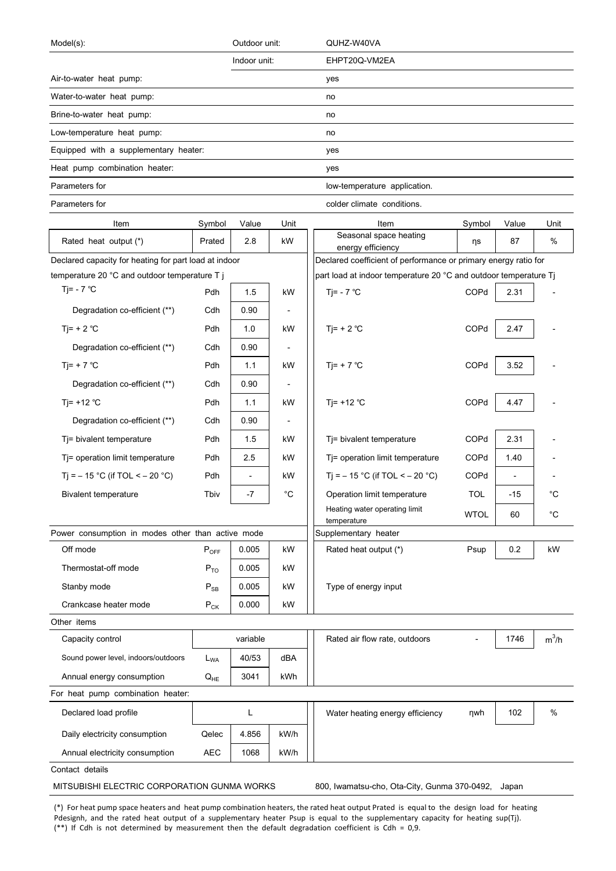| EHPT20Q-VM2EA<br>Indoor unit:<br>yes<br>no<br>no<br>no<br>Equipped with a supplementary heater:<br>yes<br>yes<br>low-temperature application.<br>colder climate conditions.<br>Unit<br>Item<br>Symbol<br>Value<br>Unit<br>Item<br>Symbol<br>Value<br>Seasonal space heating<br>$\%$<br>Rated heat output (*)<br>2.8<br>kW<br>87<br>Prated<br>ηs<br>energy efficiency<br>Declared coefficient of performance or primary energy ratio for<br>Declared capacity for heating for part load at indoor<br>temperature 20 °C and outdoor temperature T j<br>part load at indoor temperature 20 °C and outdoor temperature Tj<br>Tj= - $7^{\circ}$ C<br>Tj= - $7^{\circ}$ C<br>COPd<br>Pdh<br>1.5<br>kW<br>2.31<br>Degradation co-efficient (**)<br>Cdh<br>0.90<br>$\overline{\phantom{a}}$<br>COPd<br>Tj= + 2 $^{\circ}$ C<br>Ti= $+ 2 °C$<br>Pdh<br>1.0<br>2.47<br>kW<br>Degradation co-efficient (**)<br>Cdh<br>0.90<br>Pdh<br>Tj= + 7 $^{\circ}$ C<br>COPd<br>Ti= + 7 $^{\circ}$ C<br>1.1<br>3.52<br>kW<br>Degradation co-efficient (**)<br>Cdh<br>0.90<br>Tj= $+12$ °C<br>COPd<br>Ti= $+12$ °C<br>Pdh<br>1.1<br>4.47<br>kW<br>Degradation co-efficient (**)<br>Cdh<br>0.90<br>COPd<br>2.31<br>Tj= bivalent temperature<br>Pdh<br>1.5<br>Tj= bivalent temperature<br>kW<br>2.5<br>COPd<br>Tj= operation limit temperature<br>Pdh<br>Tj= operation limit temperature<br>1.40<br>kW<br>Tj = $-15$ °C (if TOL < $-20$ °C)<br>Pdh<br>T <sub>i</sub> = $-15$ °C (if TOL < $-20$ °C)<br>COPd<br>kW<br>$\overline{\phantom{a}}$<br>$\overline{\phantom{a}}$<br>$^{\circ}C$<br><b>TOL</b><br>$^{\circ}C$<br>Tbiv<br>-7<br>Operation limit temperature<br>$-15$<br>Bivalent temperature<br>Heating water operating limit<br><b>WTOL</b><br>60<br>$^{\circ}C$<br>temperature<br>Power consumption in modes other than active mode<br>Supplementary heater<br>Off mode<br>0.005<br>Rated heat output (*)<br>0.2<br>kW<br>$P_{OFF}$<br>kW<br>Psup<br>Thermostat-off mode<br>$P_{TO}$<br>0.005<br>kW<br>Stanby mode<br>0.005<br>kW<br>Type of energy input<br>$\mathsf{P}_{\mathsf{SB}}$<br>0.000<br>Crankcase heater mode<br>$P_{CK}$<br>kW<br>Other items<br>$m^3/h$<br>variable<br>Capacity control<br>Rated air flow rate, outdoors<br>1746<br>dBA<br>Sound power level, indoors/outdoors<br>40/53<br>$L_{WA}$<br>Annual energy consumption<br>3041<br>kWh<br>$Q_{HE}$ | Model(s):                         | Outdoor unit: | QUHZ-W40VA |  |  |
|-----------------------------------------------------------------------------------------------------------------------------------------------------------------------------------------------------------------------------------------------------------------------------------------------------------------------------------------------------------------------------------------------------------------------------------------------------------------------------------------------------------------------------------------------------------------------------------------------------------------------------------------------------------------------------------------------------------------------------------------------------------------------------------------------------------------------------------------------------------------------------------------------------------------------------------------------------------------------------------------------------------------------------------------------------------------------------------------------------------------------------------------------------------------------------------------------------------------------------------------------------------------------------------------------------------------------------------------------------------------------------------------------------------------------------------------------------------------------------------------------------------------------------------------------------------------------------------------------------------------------------------------------------------------------------------------------------------------------------------------------------------------------------------------------------------------------------------------------------------------------------------------------------------------------------------------------------------------------------------------------------------------------------------------------------------------------------------------------------------------------------------------------------------------------------------------------------------------------------------------------------------------------------------------------------------------------------------------------------------|-----------------------------------|---------------|------------|--|--|
|                                                                                                                                                                                                                                                                                                                                                                                                                                                                                                                                                                                                                                                                                                                                                                                                                                                                                                                                                                                                                                                                                                                                                                                                                                                                                                                                                                                                                                                                                                                                                                                                                                                                                                                                                                                                                                                                                                                                                                                                                                                                                                                                                                                                                                                                                                                                                           |                                   |               |            |  |  |
|                                                                                                                                                                                                                                                                                                                                                                                                                                                                                                                                                                                                                                                                                                                                                                                                                                                                                                                                                                                                                                                                                                                                                                                                                                                                                                                                                                                                                                                                                                                                                                                                                                                                                                                                                                                                                                                                                                                                                                                                                                                                                                                                                                                                                                                                                                                                                           | Air-to-water heat pump:           |               |            |  |  |
|                                                                                                                                                                                                                                                                                                                                                                                                                                                                                                                                                                                                                                                                                                                                                                                                                                                                                                                                                                                                                                                                                                                                                                                                                                                                                                                                                                                                                                                                                                                                                                                                                                                                                                                                                                                                                                                                                                                                                                                                                                                                                                                                                                                                                                                                                                                                                           | Water-to-water heat pump:         |               |            |  |  |
|                                                                                                                                                                                                                                                                                                                                                                                                                                                                                                                                                                                                                                                                                                                                                                                                                                                                                                                                                                                                                                                                                                                                                                                                                                                                                                                                                                                                                                                                                                                                                                                                                                                                                                                                                                                                                                                                                                                                                                                                                                                                                                                                                                                                                                                                                                                                                           | Brine-to-water heat pump:         |               |            |  |  |
|                                                                                                                                                                                                                                                                                                                                                                                                                                                                                                                                                                                                                                                                                                                                                                                                                                                                                                                                                                                                                                                                                                                                                                                                                                                                                                                                                                                                                                                                                                                                                                                                                                                                                                                                                                                                                                                                                                                                                                                                                                                                                                                                                                                                                                                                                                                                                           | Low-temperature heat pump:        |               |            |  |  |
|                                                                                                                                                                                                                                                                                                                                                                                                                                                                                                                                                                                                                                                                                                                                                                                                                                                                                                                                                                                                                                                                                                                                                                                                                                                                                                                                                                                                                                                                                                                                                                                                                                                                                                                                                                                                                                                                                                                                                                                                                                                                                                                                                                                                                                                                                                                                                           |                                   |               |            |  |  |
|                                                                                                                                                                                                                                                                                                                                                                                                                                                                                                                                                                                                                                                                                                                                                                                                                                                                                                                                                                                                                                                                                                                                                                                                                                                                                                                                                                                                                                                                                                                                                                                                                                                                                                                                                                                                                                                                                                                                                                                                                                                                                                                                                                                                                                                                                                                                                           | Heat pump combination heater:     |               |            |  |  |
|                                                                                                                                                                                                                                                                                                                                                                                                                                                                                                                                                                                                                                                                                                                                                                                                                                                                                                                                                                                                                                                                                                                                                                                                                                                                                                                                                                                                                                                                                                                                                                                                                                                                                                                                                                                                                                                                                                                                                                                                                                                                                                                                                                                                                                                                                                                                                           | Parameters for                    |               |            |  |  |
|                                                                                                                                                                                                                                                                                                                                                                                                                                                                                                                                                                                                                                                                                                                                                                                                                                                                                                                                                                                                                                                                                                                                                                                                                                                                                                                                                                                                                                                                                                                                                                                                                                                                                                                                                                                                                                                                                                                                                                                                                                                                                                                                                                                                                                                                                                                                                           | Parameters for                    |               |            |  |  |
|                                                                                                                                                                                                                                                                                                                                                                                                                                                                                                                                                                                                                                                                                                                                                                                                                                                                                                                                                                                                                                                                                                                                                                                                                                                                                                                                                                                                                                                                                                                                                                                                                                                                                                                                                                                                                                                                                                                                                                                                                                                                                                                                                                                                                                                                                                                                                           |                                   |               |            |  |  |
|                                                                                                                                                                                                                                                                                                                                                                                                                                                                                                                                                                                                                                                                                                                                                                                                                                                                                                                                                                                                                                                                                                                                                                                                                                                                                                                                                                                                                                                                                                                                                                                                                                                                                                                                                                                                                                                                                                                                                                                                                                                                                                                                                                                                                                                                                                                                                           |                                   |               |            |  |  |
|                                                                                                                                                                                                                                                                                                                                                                                                                                                                                                                                                                                                                                                                                                                                                                                                                                                                                                                                                                                                                                                                                                                                                                                                                                                                                                                                                                                                                                                                                                                                                                                                                                                                                                                                                                                                                                                                                                                                                                                                                                                                                                                                                                                                                                                                                                                                                           |                                   |               |            |  |  |
|                                                                                                                                                                                                                                                                                                                                                                                                                                                                                                                                                                                                                                                                                                                                                                                                                                                                                                                                                                                                                                                                                                                                                                                                                                                                                                                                                                                                                                                                                                                                                                                                                                                                                                                                                                                                                                                                                                                                                                                                                                                                                                                                                                                                                                                                                                                                                           |                                   |               |            |  |  |
|                                                                                                                                                                                                                                                                                                                                                                                                                                                                                                                                                                                                                                                                                                                                                                                                                                                                                                                                                                                                                                                                                                                                                                                                                                                                                                                                                                                                                                                                                                                                                                                                                                                                                                                                                                                                                                                                                                                                                                                                                                                                                                                                                                                                                                                                                                                                                           |                                   |               |            |  |  |
|                                                                                                                                                                                                                                                                                                                                                                                                                                                                                                                                                                                                                                                                                                                                                                                                                                                                                                                                                                                                                                                                                                                                                                                                                                                                                                                                                                                                                                                                                                                                                                                                                                                                                                                                                                                                                                                                                                                                                                                                                                                                                                                                                                                                                                                                                                                                                           |                                   |               |            |  |  |
|                                                                                                                                                                                                                                                                                                                                                                                                                                                                                                                                                                                                                                                                                                                                                                                                                                                                                                                                                                                                                                                                                                                                                                                                                                                                                                                                                                                                                                                                                                                                                                                                                                                                                                                                                                                                                                                                                                                                                                                                                                                                                                                                                                                                                                                                                                                                                           |                                   |               |            |  |  |
|                                                                                                                                                                                                                                                                                                                                                                                                                                                                                                                                                                                                                                                                                                                                                                                                                                                                                                                                                                                                                                                                                                                                                                                                                                                                                                                                                                                                                                                                                                                                                                                                                                                                                                                                                                                                                                                                                                                                                                                                                                                                                                                                                                                                                                                                                                                                                           |                                   |               |            |  |  |
|                                                                                                                                                                                                                                                                                                                                                                                                                                                                                                                                                                                                                                                                                                                                                                                                                                                                                                                                                                                                                                                                                                                                                                                                                                                                                                                                                                                                                                                                                                                                                                                                                                                                                                                                                                                                                                                                                                                                                                                                                                                                                                                                                                                                                                                                                                                                                           |                                   |               |            |  |  |
|                                                                                                                                                                                                                                                                                                                                                                                                                                                                                                                                                                                                                                                                                                                                                                                                                                                                                                                                                                                                                                                                                                                                                                                                                                                                                                                                                                                                                                                                                                                                                                                                                                                                                                                                                                                                                                                                                                                                                                                                                                                                                                                                                                                                                                                                                                                                                           |                                   |               |            |  |  |
|                                                                                                                                                                                                                                                                                                                                                                                                                                                                                                                                                                                                                                                                                                                                                                                                                                                                                                                                                                                                                                                                                                                                                                                                                                                                                                                                                                                                                                                                                                                                                                                                                                                                                                                                                                                                                                                                                                                                                                                                                                                                                                                                                                                                                                                                                                                                                           |                                   |               |            |  |  |
|                                                                                                                                                                                                                                                                                                                                                                                                                                                                                                                                                                                                                                                                                                                                                                                                                                                                                                                                                                                                                                                                                                                                                                                                                                                                                                                                                                                                                                                                                                                                                                                                                                                                                                                                                                                                                                                                                                                                                                                                                                                                                                                                                                                                                                                                                                                                                           |                                   |               |            |  |  |
|                                                                                                                                                                                                                                                                                                                                                                                                                                                                                                                                                                                                                                                                                                                                                                                                                                                                                                                                                                                                                                                                                                                                                                                                                                                                                                                                                                                                                                                                                                                                                                                                                                                                                                                                                                                                                                                                                                                                                                                                                                                                                                                                                                                                                                                                                                                                                           |                                   |               |            |  |  |
|                                                                                                                                                                                                                                                                                                                                                                                                                                                                                                                                                                                                                                                                                                                                                                                                                                                                                                                                                                                                                                                                                                                                                                                                                                                                                                                                                                                                                                                                                                                                                                                                                                                                                                                                                                                                                                                                                                                                                                                                                                                                                                                                                                                                                                                                                                                                                           |                                   |               |            |  |  |
|                                                                                                                                                                                                                                                                                                                                                                                                                                                                                                                                                                                                                                                                                                                                                                                                                                                                                                                                                                                                                                                                                                                                                                                                                                                                                                                                                                                                                                                                                                                                                                                                                                                                                                                                                                                                                                                                                                                                                                                                                                                                                                                                                                                                                                                                                                                                                           |                                   |               |            |  |  |
|                                                                                                                                                                                                                                                                                                                                                                                                                                                                                                                                                                                                                                                                                                                                                                                                                                                                                                                                                                                                                                                                                                                                                                                                                                                                                                                                                                                                                                                                                                                                                                                                                                                                                                                                                                                                                                                                                                                                                                                                                                                                                                                                                                                                                                                                                                                                                           |                                   |               |            |  |  |
|                                                                                                                                                                                                                                                                                                                                                                                                                                                                                                                                                                                                                                                                                                                                                                                                                                                                                                                                                                                                                                                                                                                                                                                                                                                                                                                                                                                                                                                                                                                                                                                                                                                                                                                                                                                                                                                                                                                                                                                                                                                                                                                                                                                                                                                                                                                                                           |                                   |               |            |  |  |
|                                                                                                                                                                                                                                                                                                                                                                                                                                                                                                                                                                                                                                                                                                                                                                                                                                                                                                                                                                                                                                                                                                                                                                                                                                                                                                                                                                                                                                                                                                                                                                                                                                                                                                                                                                                                                                                                                                                                                                                                                                                                                                                                                                                                                                                                                                                                                           |                                   |               |            |  |  |
|                                                                                                                                                                                                                                                                                                                                                                                                                                                                                                                                                                                                                                                                                                                                                                                                                                                                                                                                                                                                                                                                                                                                                                                                                                                                                                                                                                                                                                                                                                                                                                                                                                                                                                                                                                                                                                                                                                                                                                                                                                                                                                                                                                                                                                                                                                                                                           |                                   |               |            |  |  |
|                                                                                                                                                                                                                                                                                                                                                                                                                                                                                                                                                                                                                                                                                                                                                                                                                                                                                                                                                                                                                                                                                                                                                                                                                                                                                                                                                                                                                                                                                                                                                                                                                                                                                                                                                                                                                                                                                                                                                                                                                                                                                                                                                                                                                                                                                                                                                           |                                   |               |            |  |  |
|                                                                                                                                                                                                                                                                                                                                                                                                                                                                                                                                                                                                                                                                                                                                                                                                                                                                                                                                                                                                                                                                                                                                                                                                                                                                                                                                                                                                                                                                                                                                                                                                                                                                                                                                                                                                                                                                                                                                                                                                                                                                                                                                                                                                                                                                                                                                                           |                                   |               |            |  |  |
|                                                                                                                                                                                                                                                                                                                                                                                                                                                                                                                                                                                                                                                                                                                                                                                                                                                                                                                                                                                                                                                                                                                                                                                                                                                                                                                                                                                                                                                                                                                                                                                                                                                                                                                                                                                                                                                                                                                                                                                                                                                                                                                                                                                                                                                                                                                                                           |                                   |               |            |  |  |
|                                                                                                                                                                                                                                                                                                                                                                                                                                                                                                                                                                                                                                                                                                                                                                                                                                                                                                                                                                                                                                                                                                                                                                                                                                                                                                                                                                                                                                                                                                                                                                                                                                                                                                                                                                                                                                                                                                                                                                                                                                                                                                                                                                                                                                                                                                                                                           |                                   |               |            |  |  |
|                                                                                                                                                                                                                                                                                                                                                                                                                                                                                                                                                                                                                                                                                                                                                                                                                                                                                                                                                                                                                                                                                                                                                                                                                                                                                                                                                                                                                                                                                                                                                                                                                                                                                                                                                                                                                                                                                                                                                                                                                                                                                                                                                                                                                                                                                                                                                           |                                   |               |            |  |  |
|                                                                                                                                                                                                                                                                                                                                                                                                                                                                                                                                                                                                                                                                                                                                                                                                                                                                                                                                                                                                                                                                                                                                                                                                                                                                                                                                                                                                                                                                                                                                                                                                                                                                                                                                                                                                                                                                                                                                                                                                                                                                                                                                                                                                                                                                                                                                                           |                                   |               |            |  |  |
|                                                                                                                                                                                                                                                                                                                                                                                                                                                                                                                                                                                                                                                                                                                                                                                                                                                                                                                                                                                                                                                                                                                                                                                                                                                                                                                                                                                                                                                                                                                                                                                                                                                                                                                                                                                                                                                                                                                                                                                                                                                                                                                                                                                                                                                                                                                                                           |                                   |               |            |  |  |
|                                                                                                                                                                                                                                                                                                                                                                                                                                                                                                                                                                                                                                                                                                                                                                                                                                                                                                                                                                                                                                                                                                                                                                                                                                                                                                                                                                                                                                                                                                                                                                                                                                                                                                                                                                                                                                                                                                                                                                                                                                                                                                                                                                                                                                                                                                                                                           | For heat pump combination heater: |               |            |  |  |
| $\%$<br>Declared load profile<br>L<br>102<br>Water heating energy efficiency<br>nwh                                                                                                                                                                                                                                                                                                                                                                                                                                                                                                                                                                                                                                                                                                                                                                                                                                                                                                                                                                                                                                                                                                                                                                                                                                                                                                                                                                                                                                                                                                                                                                                                                                                                                                                                                                                                                                                                                                                                                                                                                                                                                                                                                                                                                                                                       |                                   |               |            |  |  |
| kW/h<br>Daily electricity consumption<br>Qelec<br>4.856                                                                                                                                                                                                                                                                                                                                                                                                                                                                                                                                                                                                                                                                                                                                                                                                                                                                                                                                                                                                                                                                                                                                                                                                                                                                                                                                                                                                                                                                                                                                                                                                                                                                                                                                                                                                                                                                                                                                                                                                                                                                                                                                                                                                                                                                                                   |                                   |               |            |  |  |
|                                                                                                                                                                                                                                                                                                                                                                                                                                                                                                                                                                                                                                                                                                                                                                                                                                                                                                                                                                                                                                                                                                                                                                                                                                                                                                                                                                                                                                                                                                                                                                                                                                                                                                                                                                                                                                                                                                                                                                                                                                                                                                                                                                                                                                                                                                                                                           |                                   |               |            |  |  |
| Annual electricity consumption<br><b>AEC</b><br>1068<br>kW/h                                                                                                                                                                                                                                                                                                                                                                                                                                                                                                                                                                                                                                                                                                                                                                                                                                                                                                                                                                                                                                                                                                                                                                                                                                                                                                                                                                                                                                                                                                                                                                                                                                                                                                                                                                                                                                                                                                                                                                                                                                                                                                                                                                                                                                                                                              | Contact details                   |               |            |  |  |

MITSUBISHI ELECTRIC CORPORATION GUNMA WORKS 800, Iwamatsu-cho, Ota-City, Gunma 370-0492, Japan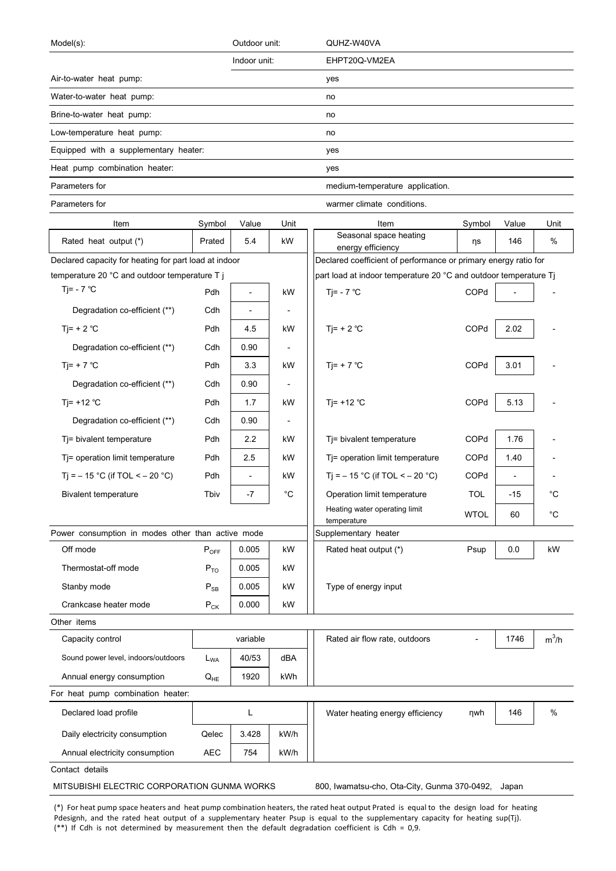| Model(s):                                             |                            | Outdoor unit:            |                                     | QUHZ-W40VA                                                       |             |                |             |
|-------------------------------------------------------|----------------------------|--------------------------|-------------------------------------|------------------------------------------------------------------|-------------|----------------|-------------|
|                                                       |                            | Indoor unit:             |                                     | EHPT20Q-VM2EA                                                    |             |                |             |
| Air-to-water heat pump:                               |                            |                          |                                     | yes                                                              |             |                |             |
| Water-to-water heat pump:                             |                            |                          |                                     | no                                                               |             |                |             |
| Brine-to-water heat pump:                             |                            |                          |                                     | no                                                               |             |                |             |
| Low-temperature heat pump:                            |                            |                          |                                     | no                                                               |             |                |             |
| Equipped with a supplementary heater:                 |                            |                          |                                     | yes                                                              |             |                |             |
| Heat pump combination heater:                         |                            |                          |                                     | yes                                                              |             |                |             |
| Parameters for                                        |                            |                          |                                     | medium-temperature application.                                  |             |                |             |
| Parameters for                                        | warmer climate conditions. |                          |                                     |                                                                  |             |                |             |
| Item                                                  | Symbol                     | Value                    | Unit                                | Item                                                             | Symbol      | Value          | Unit        |
| Rated heat output (*)                                 | Prated                     | 5.4                      | kW                                  | Seasonal space heating<br>energy efficiency                      | ηs          | 146            | $\%$        |
| Declared capacity for heating for part load at indoor |                            |                          |                                     | Declared coefficient of performance or primary energy ratio for  |             |                |             |
| temperature 20 °C and outdoor temperature T j         |                            |                          |                                     | part load at indoor temperature 20 °C and outdoor temperature Tj |             |                |             |
| Tj= - $7^{\circ}$ C                                   | Pdh                        | $\overline{\phantom{a}}$ | kW                                  | Tj= - $7^{\circ}$ C                                              | COPd        |                |             |
| Degradation co-efficient (**)                         | Cdh                        | $\overline{\phantom{a}}$ | $\overline{\phantom{a}}$            |                                                                  |             |                |             |
| Ti= $+ 2 °C$                                          | Pdh                        | 4.5                      | kW                                  | Tj= + 2 $^{\circ}$ C                                             | COPd        | 2.02           |             |
| Degradation co-efficient (**)                         | Cdh                        | 0.90                     | $\overline{\phantom{a}}$            |                                                                  |             |                |             |
| Ti= + 7 $^{\circ}$ C                                  | Pdh                        | 3.3                      | kW                                  | Tj= + 7 $^{\circ}$ C                                             | COPd        | 3.01           |             |
| Degradation co-efficient (**)                         | Cdh                        | 0.90                     | $\overline{\phantom{a}}$            |                                                                  |             |                |             |
| Ti= $+12$ °C                                          | Pdh                        | 1.7                      | kW                                  | Tj= +12 $°C$                                                     | COPd        | 5.13           |             |
| Degradation co-efficient (**)                         | Cdh                        | 0.90                     | $\overline{\phantom{a}}$            |                                                                  |             |                |             |
| Tj= bivalent temperature                              | Pdh                        | 2.2                      | kW                                  | Tj= bivalent temperature                                         | COPd        | 1.76           |             |
| Tj= operation limit temperature                       | Pdh                        | 2.5                      | kW                                  | Tj= operation limit temperature                                  | COPd        | 1.40           |             |
| Ti = $-15$ °C (if TOL < $-20$ °C)                     | Pdh                        |                          | kW                                  | Tj = $-15$ °C (if TOL < $-20$ °C)                                | COPd        | $\overline{a}$ |             |
| <b>Bivalent temperature</b>                           | Tbiv                       | $-7$                     | $^{\circ}C$                         | Operation limit temperature                                      | <b>TOL</b>  | $-15$          | $^{\circ}C$ |
|                                                       |                            |                          |                                     | Heating water operating limit                                    | <b>WTOL</b> | 60             | $^{\circ}C$ |
| Power consumption in modes other than active mode     |                            |                          | temperature<br>Supplementary heater |                                                                  |             |                |             |
| Off mode                                              | $P_{OFF}$                  | 0.005                    | kW                                  | Rated heat output (*)                                            | Psup        | 0.0            | kW          |
| Thermostat-off mode                                   | $P_{TO}$                   | 0.005                    | kW                                  |                                                                  |             |                |             |
| Stanby mode                                           | $P_{SB}$                   | 0.005                    | kW                                  | Type of energy input                                             |             |                |             |
| Crankcase heater mode                                 | $P_{CK}$                   | 0.000                    | kW                                  |                                                                  |             |                |             |
| Other items                                           |                            |                          |                                     |                                                                  |             |                |             |
| Capacity control                                      |                            | variable                 |                                     | Rated air flow rate, outdoors                                    |             | 1746           | $m^3/h$     |
| Sound power level, indoors/outdoors                   | $L_{WA}$                   | 40/53                    | dBA                                 |                                                                  |             |                |             |
| Annual energy consumption                             | $Q_{HE}$                   | 1920                     | kWh                                 |                                                                  |             |                |             |
| For heat pump combination heater:                     |                            |                          |                                     |                                                                  |             |                |             |
| Declared load profile                                 |                            | L                        |                                     | Water heating energy efficiency                                  | ηwh         | 146            | %           |
| Daily electricity consumption                         | Qelec                      | 3.428                    | kW/h                                |                                                                  |             |                |             |
| Annual electricity consumption                        | <b>AEC</b>                 | 754                      | kW/h                                |                                                                  |             |                |             |

Contact details

MITSUBISHI ELECTRIC CORPORATION GUNMA WORKS 800, Iwamatsu-cho, Ota-City, Gunma 370-0492, Japan